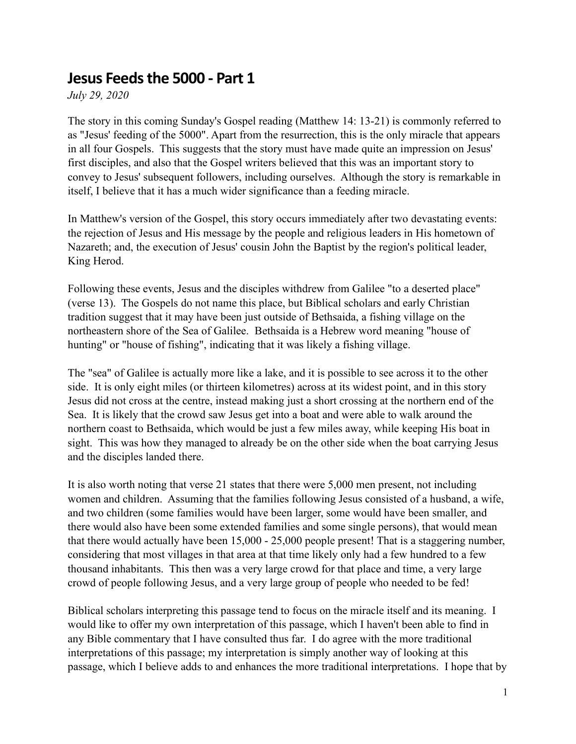## **Jesus Feedsthe 5000 - Part 1**

*July 29, 2020*

The story in this coming Sunday's Gospel reading (Matthew 14: 13-21) is commonly referred to as "Jesus' feeding of the 5000". Apart from the resurrection, this is the only miracle that appears in all four Gospels. This suggests that the story must have made quite an impression on Jesus' first disciples, and also that the Gospel writers believed that this was an important story to convey to Jesus' subsequent followers, including ourselves. Although the story is remarkable in itself, I believe that it has a much wider significance than a feeding miracle.

In Matthew's version of the Gospel, this story occurs immediately after two devastating events: the rejection of Jesus and His message by the people and religious leaders in His hometown of Nazareth; and, the execution of Jesus' cousin John the Baptist by the region's political leader, King Herod.

Following these events, Jesus and the disciples withdrew from Galilee "to a deserted place" (verse 13). The Gospels do not name this place, but Biblical scholars and early Christian tradition suggest that it may have been just outside of Bethsaida, a fishing village on the northeastern shore of the Sea of Galilee. Bethsaida is a Hebrew word meaning "house of hunting" or "house of fishing", indicating that it was likely a fishing village.

The "sea" of Galilee is actually more like a lake, and it is possible to see across it to the other side. It is only eight miles (or thirteen kilometres) across at its widest point, and in this story Jesus did not cross at the centre, instead making just a short crossing at the northern end of the Sea. It is likely that the crowd saw Jesus get into a boat and were able to walk around the northern coast to Bethsaida, which would be just a few miles away, while keeping His boat in sight. This was how they managed to already be on the other side when the boat carrying Jesus and the disciples landed there.

It is also worth noting that verse 21 states that there were 5,000 men present, not including women and children. Assuming that the families following Jesus consisted of a husband, a wife, and two children (some families would have been larger, some would have been smaller, and there would also have been some extended families and some single persons), that would mean that there would actually have been 15,000 - 25,000 people present! That is a staggering number, considering that most villages in that area at that time likely only had a few hundred to a few thousand inhabitants. This then was a very large crowd for that place and time, a very large crowd of people following Jesus, and a very large group of people who needed to be fed!

Biblical scholars interpreting this passage tend to focus on the miracle itself and its meaning. I would like to offer my own interpretation of this passage, which I haven't been able to find in any Bible commentary that I have consulted thus far. I do agree with the more traditional interpretations of this passage; my interpretation is simply another way of looking at this passage, which I believe adds to and enhances the more traditional interpretations. I hope that by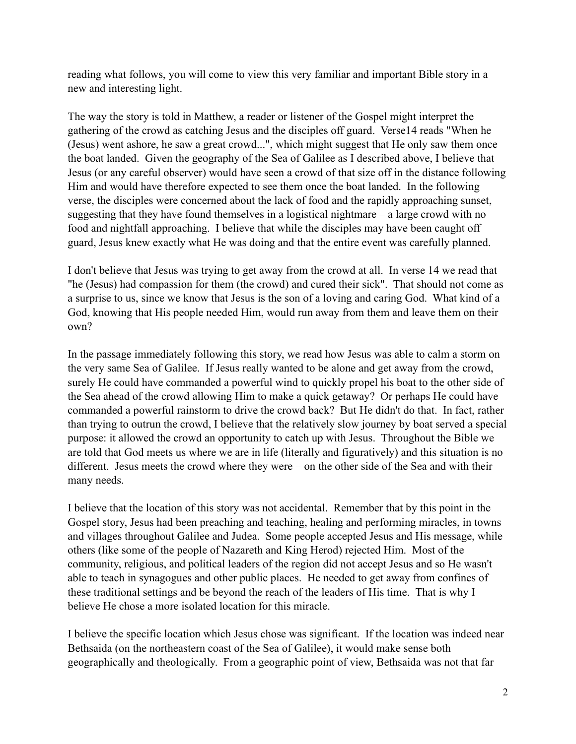reading what follows, you will come to view this very familiar and important Bible story in a new and interesting light.

The way the story is told in Matthew, a reader or listener of the Gospel might interpret the gathering of the crowd as catching Jesus and the disciples off guard. Verse14 reads "When he (Jesus) went ashore, he saw a great crowd...", which might suggest that He only saw them once the boat landed. Given the geography of the Sea of Galilee as I described above, I believe that Jesus (or any careful observer) would have seen a crowd of that size off in the distance following Him and would have therefore expected to see them once the boat landed. In the following verse, the disciples were concerned about the lack of food and the rapidly approaching sunset, suggesting that they have found themselves in a logistical nightmare – a large crowd with no food and nightfall approaching. I believe that while the disciples may have been caught off guard, Jesus knew exactly what He was doing and that the entire event was carefully planned.

I don't believe that Jesus was trying to get away from the crowd at all. In verse 14 we read that "he (Jesus) had compassion for them (the crowd) and cured their sick". That should not come as a surprise to us, since we know that Jesus is the son of a loving and caring God. What kind of a God, knowing that His people needed Him, would run away from them and leave them on their own?

In the passage immediately following this story, we read how Jesus was able to calm a storm on the very same Sea of Galilee. If Jesus really wanted to be alone and get away from the crowd, surely He could have commanded a powerful wind to quickly propel his boat to the other side of the Sea ahead of the crowd allowing Him to make a quick getaway? Or perhaps He could have commanded a powerful rainstorm to drive the crowd back? But He didn't do that. In fact, rather than trying to outrun the crowd, I believe that the relatively slow journey by boat served a special purpose: it allowed the crowd an opportunity to catch up with Jesus. Throughout the Bible we are told that God meets us where we are in life (literally and figuratively) and this situation is no different. Jesus meets the crowd where they were – on the other side of the Sea and with their many needs.

I believe that the location of this story was not accidental. Remember that by this point in the Gospel story, Jesus had been preaching and teaching, healing and performing miracles, in towns and villages throughout Galilee and Judea. Some people accepted Jesus and His message, while others (like some of the people of Nazareth and King Herod) rejected Him. Most of the community, religious, and political leaders of the region did not accept Jesus and so He wasn't able to teach in synagogues and other public places. He needed to get away from confines of these traditional settings and be beyond the reach of the leaders of His time. That is why I believe He chose a more isolated location for this miracle.

I believe the specific location which Jesus chose was significant. If the location was indeed near Bethsaida (on the northeastern coast of the Sea of Galilee), it would make sense both geographically and theologically. From a geographic point of view, Bethsaida was not that far